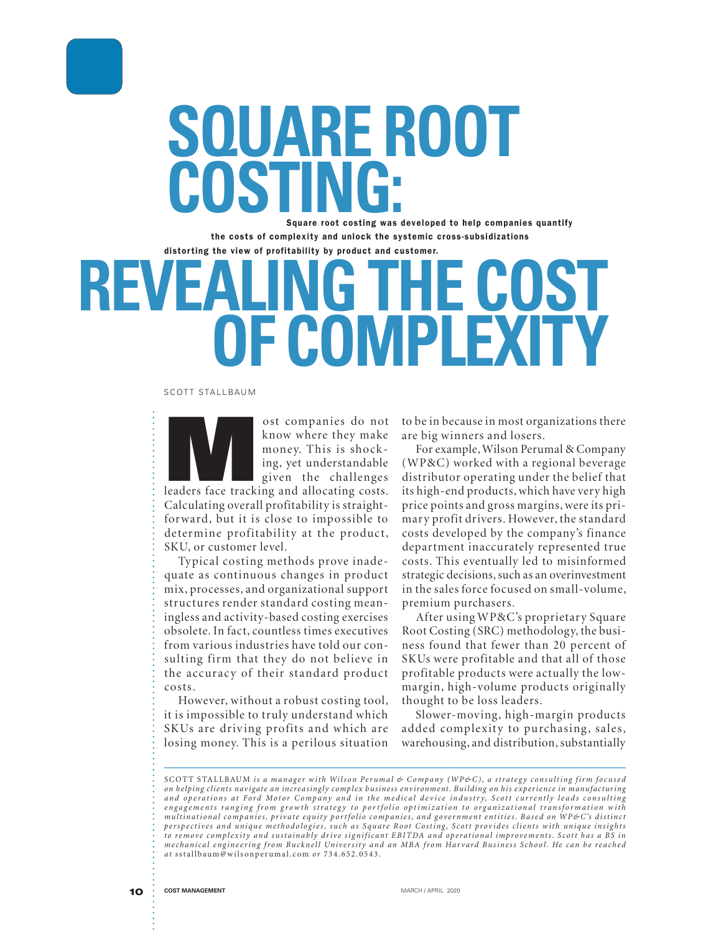

# **SQUARE ROOT COSTING:**

**Square root costing was developed to help companies quantify the costs of complexity and unlock the systemic cross-subsidizations distor ting the view of profitability by product and customer.**

## **REVEALING THE COST OF COMPLEXITY**

#### SCOTT STALLBAUM

ost companies do not<br>
know where they make<br>
money. This is shock-<br>
ing, yet understandable<br>
given the challenges<br>
leaders face tracking and allocating costs. know where they make money. This is shocking, yet understandable given the challenges Calculating overall profitability is straightforward, but it is close to impossible to determine profitability at the product, SKU, or customer level.

Typical costing methods prove inadequate as continuous changes in product mix, processes, and organizational support structures render standard costing meaningless and activity-based costing exercises obsolete. In fact, countless times executives from various industries have told our consulting firm that they do not believe in the accuracy of their standard product costs.

However, without a robust costing tool, it is impossible to truly understand which SKUs are driving profits and which are losing money. This is a perilous situation

to be in because in most organizations there are big winners and losers.

For example, Wilson Perumal & Company (WP&C) worked with a regional beverage distributor operating under the belief that its high-end products, which have very high price points and gross margins, were its primary profit drivers. However, the standard costs developed by the company's finance department inaccurately represented true costs. This eventually led to misinformed strategic decisions, such as an overinvestment in the sales force focused on small-volume, premium purchasers.

After using WP&C's proprietary Square Root Costing (SRC) methodology, the business found that fewer than 20 percent of SKUs were profitable and that all of those profitable products were actually the lowmargin, high-volume products originally thought to be loss leaders.

Slower-moving, high-margin products added complexity to purchasing, sales, warehousing, and distribution, substantially

SCOTT STALLBAUM is a manager with Wilson Perumal & Company (WP&C), a strategy consulting firm focused on helping clients navigate an increasingly complex business environment. Building on his experience in manufacturing and operations at Ford Motor Company and in the medical device industry, Scott currently leads consulting engagements ranging from growth strategy to portfolio optimization to organizational transformation with multinational companies, private equity portfolio companies, and government entities. Based on WP&C's distinct perspectives and unique methodologies, such as Square Root Costing, Scott provides clients with unique insights to remove complexity and sustainably drive significant EBITDA and operational improvements. Scott has a BS in mechanical engineering from Bucknell University and an MBA from Harvard Business School. He can be reached at sstallbaum@wilsonperumal.com or 734.652.0543.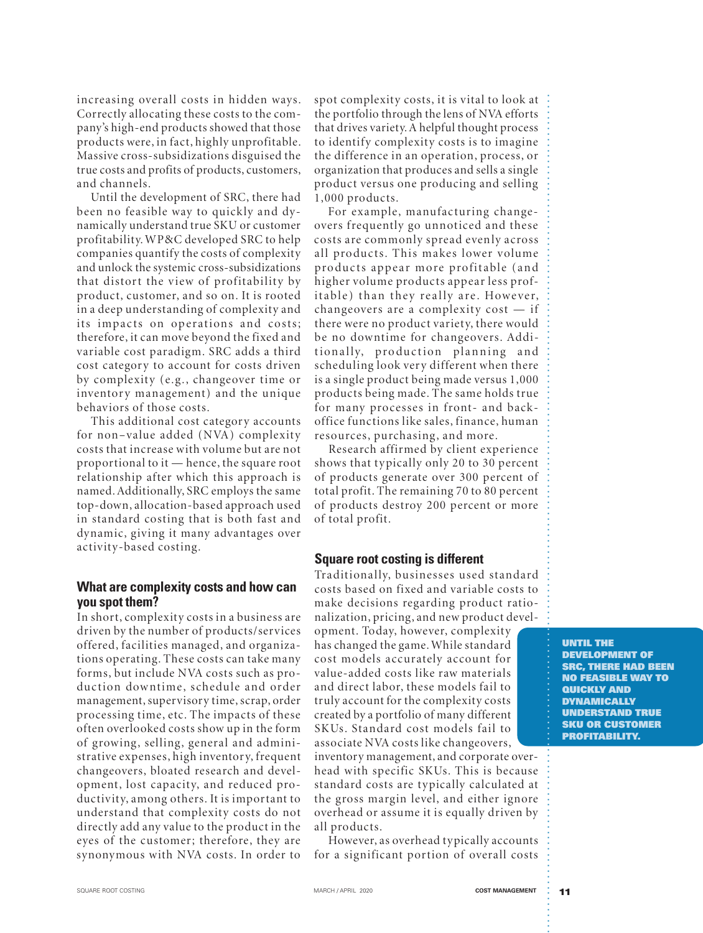increasing overall costs in hidden ways. Correctly allocating these costs to the company's high-end products showed that those products were, in fact, highly unprofitable. Massive cross-subsidizations disguised the true costs and profits of products, customers, and channels.

Until the development of SRC, there had been no feasible way to quickly and dynamically understand true SKU or customer profitability. WP&C developed SRC to help companies quantify the costs of complexity and unlock the systemic cross-subsidizations that distort the view of profitability by product, customer, and so on. It is rooted in a deep understanding of complexity and its impacts on operations and costs; therefore, it can move beyond the fixed and variable cost paradigm. SRC adds a third cost category to account for costs driven by complexity (e.g., changeover time or inventory management) and the unique behav iors of those costs.

This additional cost category accounts for non-value added (NVA) complexity costs that increase w ith volume but are not proportional to it — hence, the square root relationship after which this approach is named. Additionally, SRC employs the same top-down, allocation-based approach used in standard costing that is both fast and dynamic, giving it many advantages over activity-based costing.

### **What are complexity costs and how can you spot them?**

In short, complexity costs in a business are driven by the number of products/services offered, facilities managed, and organizations operating. These costs can take many forms, but include NVA costs such as production downtime, schedule and order management, supervisory time, scrap, order processing time, etc. The impacts of these often overlooked costs show up in the form of growing, selling, general and administrative expenses, high inventory, frequent changeovers, bloated research and development, lost capacity, and reduced productivity, among others. It is important to understand that complexity costs do not directly add any value to the product in the eyes of the customer; therefore, they are synonymous with NVA costs. In order to

spot complexity costs, it is vital to look at the portfolio through the lens of NVA efforts that drives variety. A helpful thought process to identify complexity costs is to imagine the difference in an operation, process, or organization that produces and sells a single product versus one producing and selling  $1,000$  products.

For example, manufacturing changeovers frequently go unnoticed and these costs are commonly spread evenly across all products. This makes lower volume products appear more profitable (and higher volume products appear less profitable) than they really are. However, change overs are a complexity cost  $-$  if there were no product variety, there would be no downtime for changeovers. Additionally, production planning and scheduling look very different when there is a single product being made versus 1,000 products being made. The same holds true for many processes in front- and backoffice functions like sales, finance, human resources, purchasing, and more.

Research affirmed by client experience shows that typically only 20 to 30 percent of products generate over 300 percent of total profit. The remaining 70 to 80 percent of products destroy 200 percent or more of total profit.

### **Square root costing is different**

Traditionally, businesses used standard costs based on fixed and variable costs to make decisions regarding product rationalization, pricing, and new product devel-

opment. Today, however, complexity has changed the game. While standard cost models accurately account for value-added costs like raw materials and direct labor, these models fail to truly account for the complexity costs created by a portfolio of many different SKUs. Standard cost models fail to associate NVA costs like changeovers,

inventory management, and corporate overhead with specific SKUs. This is because standard costs are typically calculated at the gross margin level, and either ignore overhead or assume it is equally driven by all products.

However, as overhead typically accounts for a significant portion of overall costs

**UNTIL THE DEVELOPMENT OF SRC, THERE HAD BEEN NO FEASIBLE WAY TO QUICKLY AND DYNAMICALLY UNDERSTAND TRUE SKU OR CUSTOMER PROFITABILITY.**

,我们也不是一个人的。""我们是我们的,我们也不是我们的,我们也不是我们的。""我们的,我们也不是我们的。""我们的,我们也不是我们的。""我们的,我们也不是我们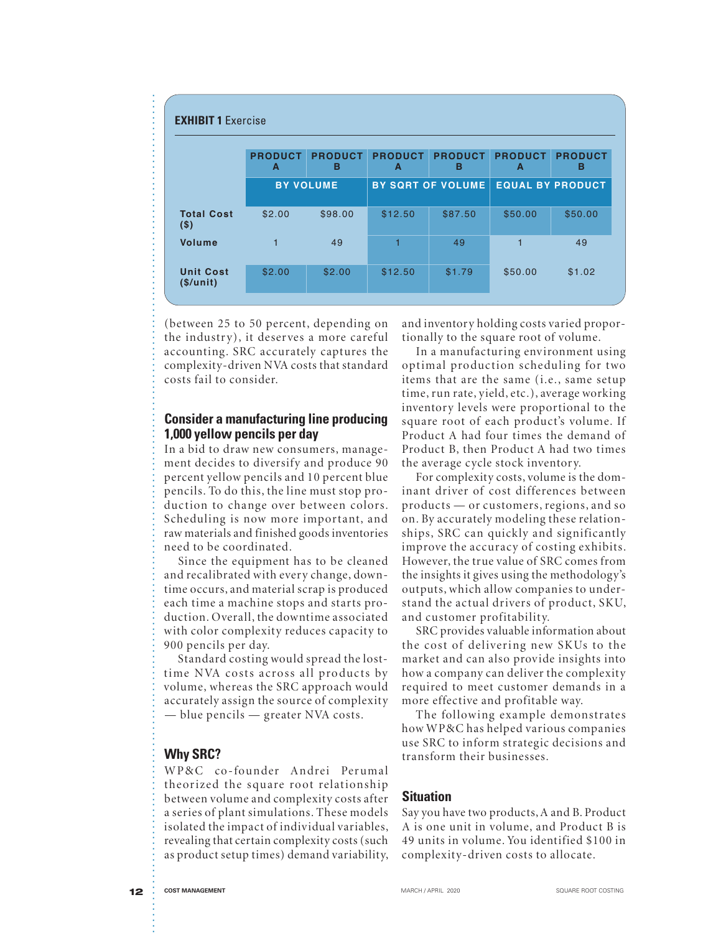|                                                                                                                                                                                                                                                                                                                                                                                                                                                                                                                                                                                                                                                                                                                                                                                                                                                                                                                                                                                                                                                                                                                                                                     | <b>PRODUCT</b><br>A | <b>PRODUCT</b><br>в                          | <b>PRODUCT</b><br>A                    | <b>PRODUCT</b><br>в                                                                                                                                                                                                                                                                                                                                                                                                                                                                                                                                                                                                                                                                                                                                                                                                                                                                                                                                                                                                                                                                                                                                                  | <b>PRODUCT</b><br>A     | <b>PRODUCT</b><br>в |
|---------------------------------------------------------------------------------------------------------------------------------------------------------------------------------------------------------------------------------------------------------------------------------------------------------------------------------------------------------------------------------------------------------------------------------------------------------------------------------------------------------------------------------------------------------------------------------------------------------------------------------------------------------------------------------------------------------------------------------------------------------------------------------------------------------------------------------------------------------------------------------------------------------------------------------------------------------------------------------------------------------------------------------------------------------------------------------------------------------------------------------------------------------------------|---------------------|----------------------------------------------|----------------------------------------|----------------------------------------------------------------------------------------------------------------------------------------------------------------------------------------------------------------------------------------------------------------------------------------------------------------------------------------------------------------------------------------------------------------------------------------------------------------------------------------------------------------------------------------------------------------------------------------------------------------------------------------------------------------------------------------------------------------------------------------------------------------------------------------------------------------------------------------------------------------------------------------------------------------------------------------------------------------------------------------------------------------------------------------------------------------------------------------------------------------------------------------------------------------------|-------------------------|---------------------|
|                                                                                                                                                                                                                                                                                                                                                                                                                                                                                                                                                                                                                                                                                                                                                                                                                                                                                                                                                                                                                                                                                                                                                                     |                     | <b>BY VOLUME</b><br><b>BY SQRT OF VOLUME</b> |                                        |                                                                                                                                                                                                                                                                                                                                                                                                                                                                                                                                                                                                                                                                                                                                                                                                                                                                                                                                                                                                                                                                                                                                                                      | <b>EQUAL BY PRODUCT</b> |                     |
| <b>Total Cost</b><br>(S)                                                                                                                                                                                                                                                                                                                                                                                                                                                                                                                                                                                                                                                                                                                                                                                                                                                                                                                                                                                                                                                                                                                                            | \$2.00              | \$98.00                                      | \$12.50                                | \$87.50                                                                                                                                                                                                                                                                                                                                                                                                                                                                                                                                                                                                                                                                                                                                                                                                                                                                                                                                                                                                                                                                                                                                                              | \$50.00<br>\$50.00      |                     |
| <b>Volume</b>                                                                                                                                                                                                                                                                                                                                                                                                                                                                                                                                                                                                                                                                                                                                                                                                                                                                                                                                                                                                                                                                                                                                                       | 1                   | 49                                           | 1                                      | 49                                                                                                                                                                                                                                                                                                                                                                                                                                                                                                                                                                                                                                                                                                                                                                                                                                                                                                                                                                                                                                                                                                                                                                   | 49<br>1                 |                     |
| <b>Unit Cost</b><br>(\$/unit)                                                                                                                                                                                                                                                                                                                                                                                                                                                                                                                                                                                                                                                                                                                                                                                                                                                                                                                                                                                                                                                                                                                                       | \$2.00              | \$2.00                                       | \$12.50                                | \$1.79                                                                                                                                                                                                                                                                                                                                                                                                                                                                                                                                                                                                                                                                                                                                                                                                                                                                                                                                                                                                                                                                                                                                                               | \$50.00                 | \$1.02              |
| (between 25 to 50 percent, depending on<br>the industry), it deserves a more careful<br>accounting. SRC accurately captures the<br>complexity-driven NVA costs that standard<br>costs fail to consider.<br><b>Consider a manufacturing line producing</b><br>1,000 yellow pencils per day<br>In a bid to draw new consumers, manage-<br>ment decides to diversify and produce 90<br>percent yellow pencils and 10 percent blue<br>pencils. To do this, the line must stop pro-<br>duction to change over between colors.<br>Scheduling is now more important, and<br>raw materials and finished goods inventories<br>need to be coordinated.<br>Since the equipment has to be cleaned<br>and recalibrated with every change, down-<br>time occurs, and material scrap is produced<br>each time a machine stops and starts pro-<br>duction. Overall, the downtime associated<br>with color complexity reduces capacity to<br>900 pencils per day.<br>Standard costing would spread the lost-<br>time NVA costs across all products by<br>volume, whereas the SRC approach would<br>accurately assign the source of complexity<br>- blue pencils - greater NVA costs. |                     |                                              | required to meet customer demands in a | and inventory holding costs varied propor-<br>tionally to the square root of volume.<br>In a manufacturing environment using<br>optimal production scheduling for two<br>items that are the same (i.e., same setup<br>time, run rate, yield, etc.), average working<br>inventory levels were proportional to the<br>square root of each product's volume. If<br>Product A had four times the demand of<br>Product B, then Product A had two times<br>the average cycle stock inventory.<br>For complexity costs, volume is the dom-<br>inant driver of cost differences between<br>products - or customers, regions, and so<br>on. By accurately modeling these relation-<br>ships, SRC can quickly and significantly<br>improve the accuracy of costing exhibits<br>However, the true value of SRC comes from<br>the insights it gives using the methodology's<br>outputs, which allow companies to under-<br>stand the actual drivers of product, SKU<br>and customer profitability.<br>SRC provides valuable information about<br>the cost of delivering new SKUs to the<br>market and can also provide insights into<br>how a company can deliver the complexity |                         |                     |

### **Consider a manufacturing line producing 1,000 yellow pencils per day**

## **Why SRC?**

#### **Situation**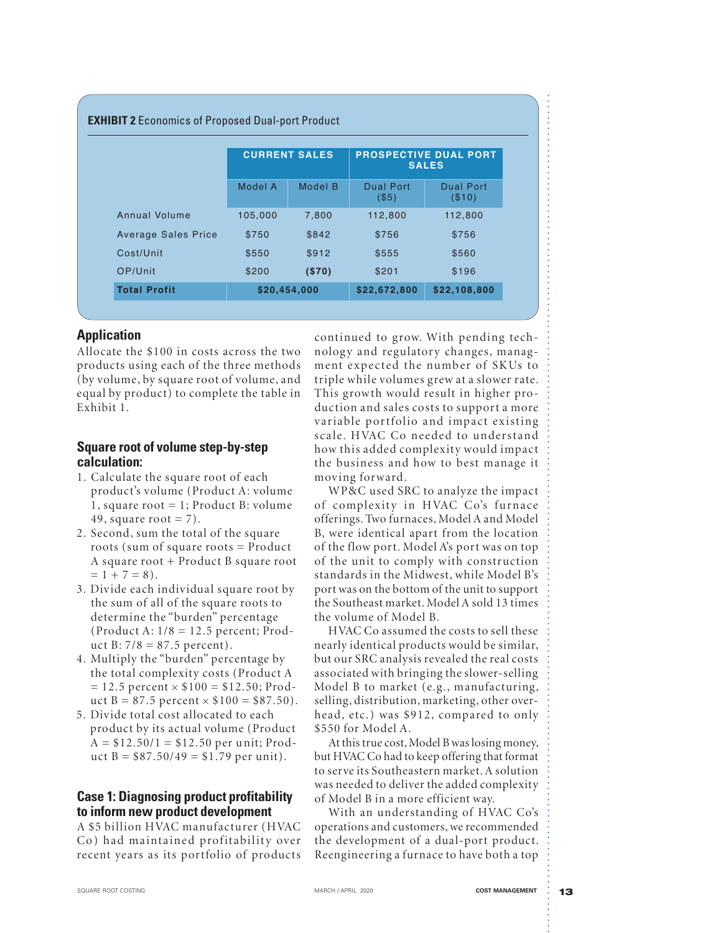|                            | <b>CURRENT SALES</b> |         | <b>PROSPECTIVE DUAL PORT</b><br><b>SALES</b> |                     |
|----------------------------|----------------------|---------|----------------------------------------------|---------------------|
|                            | Model A              | Model B | <b>Dual Port</b><br>(\$5)                    | Dual Port<br>(\$10) |
| Annual Volume              | 105.000              | 7,800   | 112,800                                      | 112,800             |
| <b>Average Sales Price</b> | \$750                | \$842   | \$756                                        | \$756               |
| Cost/Unit                  | \$550                | \$912   | \$555                                        | \$560               |
| OP/Unit                    | \$200                | (S70)   | \$201                                        | \$196               |

## **Application**

Allocate the \$100 in costs across the two products using each of the three methods (by volume, by square root of volume, and equal by product) to complete the table in Exhibit 1.

## **Square root of volume step-by-step calculation:**

- 1. Calculate the square root of each product's volume (Product A: volume 1, square root  $= 1$ ; Product B: volume 49, square root  $= 7$ ).
- 2. Second, sum the total of the square roots (sum of square roots  $=$  Product A square root + Product B square root  $= 1 + 7 = 8$ .
- 3. Divide each individual square root by the sum of all of the square roots to determine the "burden" percentage (Product A:  $1/8 = 12.5$  percent; Product B:  $7/8 = 87.5$  percent).
- 4. Multiply the "burden" percentage by the total complexity costs (Product A  $= 12.5$  percent  $\times$  \$100 = \$12.50; Product B = 87.5 percent  $\times$  \$100 = \$87.50).
- 5. Divide total cost allocated to each product by its actual volume (Product  $A = $12.50/1 = $12.50$  per unit; Product  $B = $87.50/49 = $1.79$  per unit).

## **Case 1: Diagnosing product profitability to inform new product development**

A \$5 billion HVAC manufacturer (HVAC Co) had maintained profitability over recent years as its portfolio of products continued to grow. With pending technology and regulatory changes, managment expected the number of SKUs to triple while volumes grew at a slower rate. This growth would result in higher production and sales costs to support a more variable portfolio and impact existing scale. HVAC Co needed to understand how this added complexity would impact the business and how to best manage it moving forward.

WP&C used SRC to analyze the impact of complexity in HVAC Co's furnace offerings. Two furnaces, Model A and Model B, were identical apart from the location of the flow port. Model A's port was on top of the unit to comply with construction standards in the Midwest, while Model B's port was on the bottom of the unit to support the Southeast market. Model A sold 13 times the volume of Model B.

HVAC Co assumed the costs to sell these nearly identical products would be similar, but our SRC analysis revealed the real costs associated with bringing the slower-selling Model B to market (e.g., manufacturing, selling, distribution, marketing, other overhead, etc.) was \$912, compared to only \$550 for Model A.

At this true cost, Model B was losing money, but HVAC Co had to keep offering that format to ser ve its Southeastern market. A solution was needed to deliver the added complexity of Model B in a more efficient way.

With an understanding of HVAC Co's operations and customers, we recommended the development of a dual-port product. Reengineering a furnace to have both a top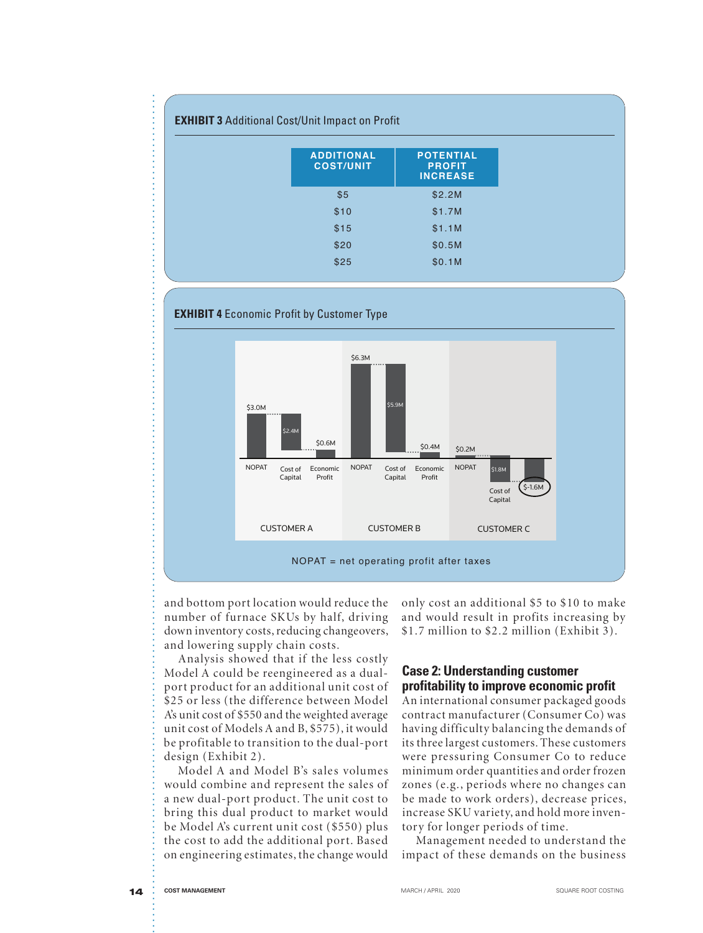| <b>EXHIBIT 3 Additional Cost/Unit Impact on Profit</b> |                                                      |  |  |  |  |
|--------------------------------------------------------|------------------------------------------------------|--|--|--|--|
| <b>ADDITIONAL</b><br><b>COST/UNIT</b>                  | <b>POTENTIAL</b><br><b>PROFIT</b><br><b>INCREASE</b> |  |  |  |  |
| \$5                                                    | \$2.2M                                               |  |  |  |  |
| \$10                                                   | \$1.7M                                               |  |  |  |  |
| \$15                                                   | \$1.1M                                               |  |  |  |  |
| \$20                                                   | \$0.5M                                               |  |  |  |  |
| \$25                                                   | \$0.1M                                               |  |  |  |  |



number of furnace SKUs by half, driving down inventory costs, reducing changeovers, and lowering supply chain costs.

Analysis showed that if the less costly Model A could be reengineered as a dualport product for an additional unit cost of \$25 or less (the difference between Model A's unit cost of \$550 and the weighted average unit cost of Models A and B, \$575), it would be profitable to transition to the dual-port design (Exhibit 2).

Model A and Model B's sales volumes would combine and represent the sales of a new dual-port product. The unit cost to bring this dual product to market would be Model A's current unit cost (\$550) plus the cost to add the additional port. Based on engineering estimates, the change would

only cost an additional \$5 to \$10 to make and would result in profits increasing by  $$1.7$  million to  $$2.2$  million (Exhibit 3).

## **Case 2: Understanding customer profitability to improve economic profit**

An international consumer packaged goods contract manufacturer (Consumer Co) was having difficulty balancing the demands of its three largest customers. These customers were pressuring Consumer Co to reduce minimum order quantities and order frozen zones (e.g., periods where no changes can be made to work orders), decrease prices, increase SKU variety, and hold more inventory for longer periods of time.

Management needed to understand the impact of these demands on the business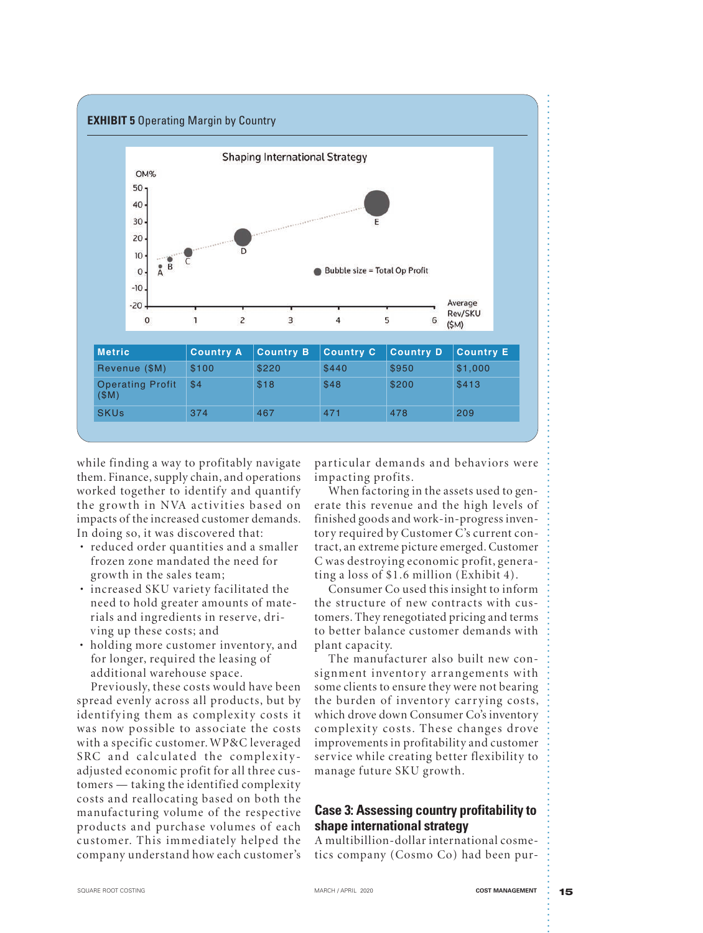

while finding a way to profitably navigate them. Finance, supply chain, and operations worked together to identify and quantify the growth in NVA activities based on impacts of the increased customer demands. In doing so, it was discovered that:

- reduced order quantities and a smaller frozen zone mandated the need for grow th in the sales team;
- increased SKU variety facilitated the need to hold greater amounts of materials and ingredients in reser ve, driving up these costs; and
- holding more customer inventory, and for longer, required the leasing of additional warehouse space.

Prev iously, these costs would have been spread evenly across all products, but by identifying them as complexity costs it was now possible to associate the costs with a specific customer. WP&C leveraged SRC and calculated the complexityadjusted economic profit for all three customers — taking the identified complexity costs and reallocating based on both the manufacturing volume of the respective products and purchase volumes of each customer. This immediately helped the company understand how each customer's

particular demands and behaviors were impacting profits.

When factoring in the assets used to generate this revenue and the high levels of finished goods and work-in-progress inventory required by Customer C's current contract, an extreme picture emerged. Customer C was destroying economic profit, generating a loss of  $$1.6$  million (Exhibit 4).

Consumer Co used this insight to inform the structure of new contracts with customers. They renegotiated pricing and terms to better balance customer demands with plant capacity.

The manufacturer also built new consignment inventory arrangements with some clients to ensure they were not bearing the burden of inventory carrying costs, which drove down Consumer Co's inventory complexity costs. These changes drove improvements in profitability and customer service while creating better flexibility to manage future SKU growth.

## **Case 3: Assessing country profitability to shape international strategy**

A multibillion-dollar international cosmetics company (Cosmo Co) had been pur